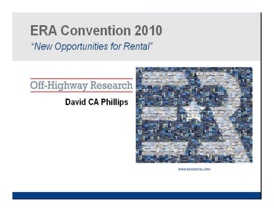# **ERA Convention 2010** "New Opportunities for Rental"



## **David CA Phillips**



WWW.ERARENTAL.ORG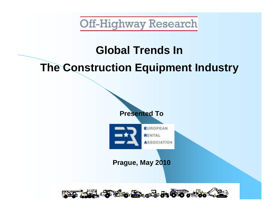# **Global Trends In The Construction Equipment Industry**

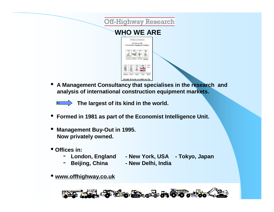

• **<sup>A</sup> Management Consultancy that specialises in the research and analysis of international construction equipment markets.**

**The largest of its kind in the world.**

- **Formed in <sup>1981</sup> as part of the Economist Intelligence Unit.**
- **Management Buy-Out in 1995. Now privately owned.**
- **Offices in:**
	- - **London, England - New York, USA - Tokyo, Japan**
	- **Beijing, China - New Delhi, India**
- 
- **[www.offhighway.co.uk](http://www.offhighway.co.uk)**

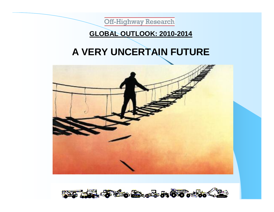

## **GLOBAL OUTLOOK: 2010-2014**

## **A VERY UNCERTAIN FUTURE**



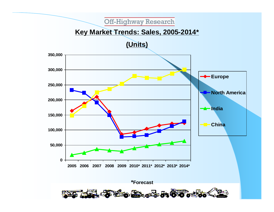#### **Key Market Trends: Sales, 2005-2014\***

**(Units)**

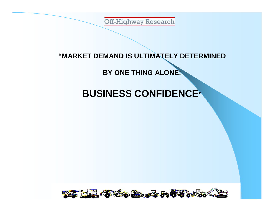#### **"MARKET DEMAND IS ULTIMATELY DETERMINED**

## **BY ONE THING ALONE:**

## **BUSINESS CONFIDENCE"**

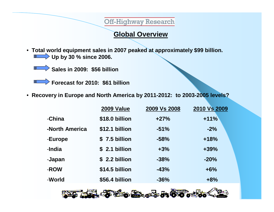#### **Global Overview**

• **Total world equipment sales in 2007 peaked at approximately \$99 billion. Up by 30 % since 2006.**



**Sales in 2009: \$56 billion**

**Forecast for 2010: \$61 billion**

• **Recovery in Europe and North America by 2011-2012: to 2003-2005 levels?**

|                | 2009 Value     | 2009 Vs 2008 | 2010 Vs 2009 |
|----------------|----------------|--------------|--------------|
| -China         | \$18.0 billion | $+27%$       | $+11%$       |
| -North America | \$12.1 billion | $-51%$       | $-2%$        |
| -Europe        | \$7.5 billion  | $-58%$       | $+18%$       |
| -India         | \$ 2.1 billion | $+3%$        | $+39%$       |
| -Japan         | \$2.2 billion  | $-38%$       | $-20%$       |
| -ROW           | \$14.5 billion | $-43%$       | $+6%$        |
| -World         | \$56.4 billion | $-36%$       | $+8%$        |

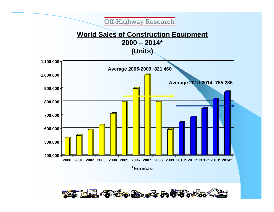**World Sales of Construction Equipment 2000 – 2014\***

**(Units)**



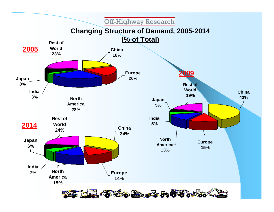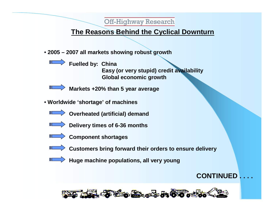## **The Reasons Behind the Cyclical Downturn**

- **2005 – 2007 all markets showing robust growth**
	- **Fuelled by: China**

**Easy (or very stupid) credit availability Global economic growth**

IП

**Markets +20% than 5 year average**

- **Worldwide 'shortage' of machines**
	- **Overheated (artificial) demand**
	- **Delivery times of 6-36 months**
	-
- **Component shortages**
- - **Customers bring forward their orders to ensure delivery**
	- **Huge machine populations, all very young**

## **CONTINUED . . . .**

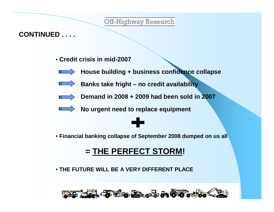## **CONTINUED . . . .**

• **Credit crisis in mid-2007**



**House building + business confidence collapse**



**Banks take fright – no credit availability**



**Demand in 2008 + 2009 had been sold in 2007**



**No urgent need to replace equipment** 



• **Financial banking collapse of September 2008 dumped on us all**

## **= THE PERFECT STORM!**

• **THE FUTURE WILL BE A VERY DIFFERENT PLACE**

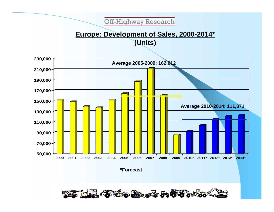## **Europe: Development of Sales, 2000-2014\* (Units)**



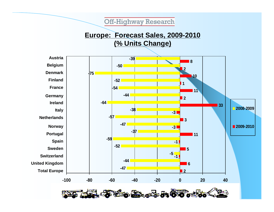## **Europe: Forecast Sales, 2009-2010 (% Units Change)**

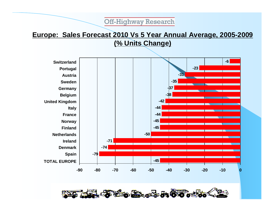#### **Europe: Sales Forecast 2010 Vs 5 Year Annual Average, 2005-2009 (% Units Change)**



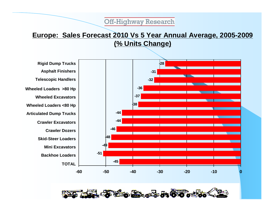## **Europe: Sales Forecast 2010 Vs 5 Year Annual Average, 2005-2009 (% Units Change)**

**Rigid Dump Trucks Asphalt Finishers Telescopic Handlers Wheeled Loaders >80 Hp Wheeled Excavators Wheeled Loaders <80 Hp Articulated Dump Trucks Crawler Excavators Crawler Dozers Skid-Steer Loaders Mini Excavators Backhoe Loaders TOTAL**



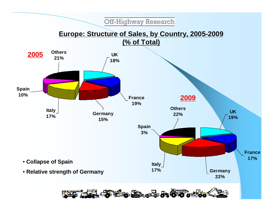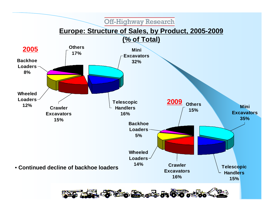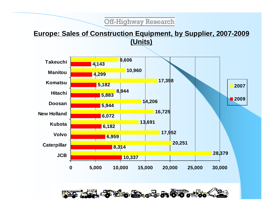## **Europe: Sales of Construction Equipment, by Supplier, 2007-2009 (Units)**



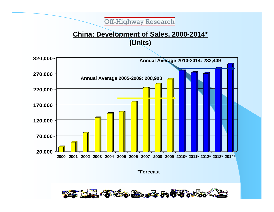## **China: Development of Sales, 2000-2014\* (Units)**



**\*Forecast**

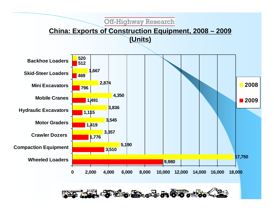## **China: Exports of Construction Equipment, 2008 – 2009 (Units)**



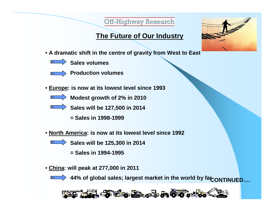## **The Future of Our Industry**



• **A dramatic shift in the centre of gravity from West to East**



**Sales volumes**



**Production volumes**

- **Europe: is now at its lowest level since 1993**
	-

**Modest growth of 2% in 2010**

- **Sales will be 127,500 in 2014**
	- **= Sales in 1998-1999**
- **North America: is now at its lowest level since 1992**
	-

**Sales will be 125,300 in 2014**

- **= Sales in 1994-1995**
- **China: will peak at 277,000 in 2011**



 $>$  44% of global sales; largest market in the world by farc on TINUED....

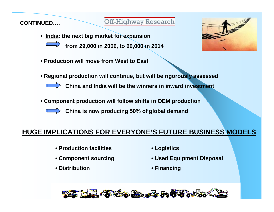**CONTINUED….**

#### **Off-Highway Research**

- **India: the next big market for expansion**  $\blacksquare$ 
	- **from 29,000 in 2009, to 60,000 in 2014**
- **Production will move from West to East**



- **Regional production will continue, but will be rigorously assessed**
	- **China and India will be the winners in inward investment**
- **Component production will follow shifts in OEM production**
	- **China is now producing 50% of global demand**

#### **HUGE IMPLICATIONS FOR EVERYONE'S FUTURE BUSINESS MODELS**

- **Production facilities**
- **Component sourcing**
- **Distribution**
- **Logistics**
- **Used Equipment Disposal**
- **Financing**